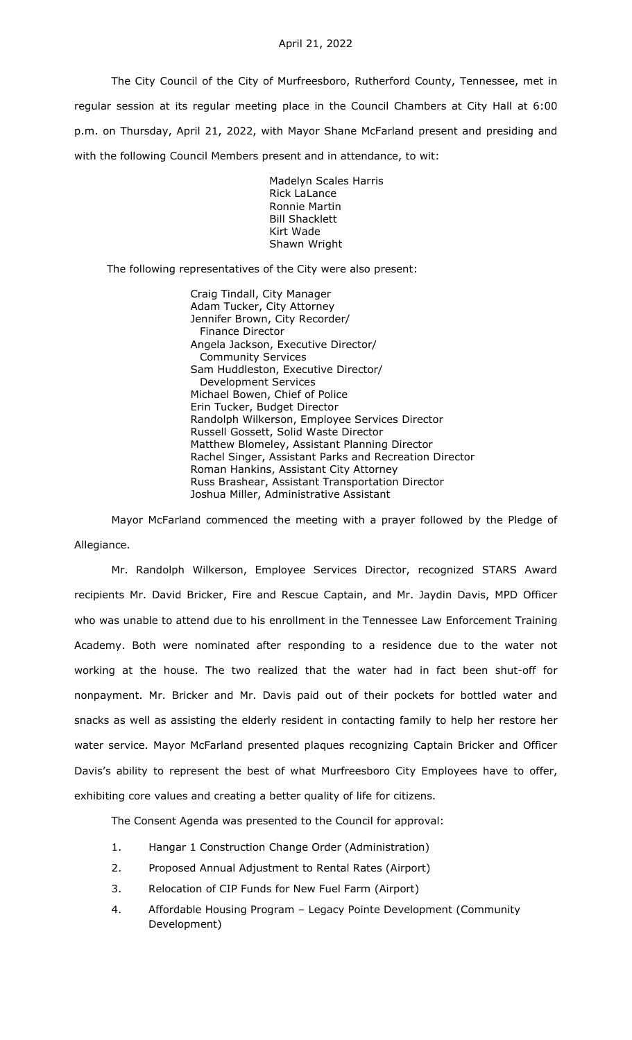The City Council of the City of Murfreesboro, Rutherford County, Tennessee, met in regular session at its regular meeting place in the Council Chambers at City Hall at 6:00 p.m. on Thursday, April 21, 2022, with Mayor Shane McFarland present and presiding and with the following Council Members present and in attendance, to wit:

> Madelyn Scales Harris Rick LaLance Ronnie Martin Bill Shacklett Kirt Wade Shawn Wright

The following representatives of the City were also present:

Craig Tindall, City Manager Adam Tucker, City Attorney Jennifer Brown, City Recorder/ Finance Director Angela Jackson, Executive Director/ Community Services Sam Huddleston, Executive Director/ Development Services Michael Bowen, Chief of Police Erin Tucker, Budget Director Randolph Wilkerson, Employee Services Director Russell Gossett, Solid Waste Director Matthew Blomeley, Assistant Planning Director Rachel Singer, Assistant Parks and Recreation Director Roman Hankins, Assistant City Attorney Russ Brashear, Assistant Transportation Director Joshua Miller, Administrative Assistant

Mayor McFarland commenced the meeting with a prayer followed by the Pledge of Allegiance.

Mr. Randolph Wilkerson, Employee Services Director, recognized STARS Award recipients Mr. David Bricker, Fire and Rescue Captain, and Mr. Jaydin Davis, MPD Officer who was unable to attend due to his enrollment in the Tennessee Law Enforcement Training Academy. Both were nominated after responding to a residence due to the water not working at the house. The two realized that the water had in fact been shut-off for nonpayment. Mr. Bricker and Mr. Davis paid out of their pockets for bottled water and snacks as well as assisting the elderly resident in contacting family to help her restore her water service. Mayor McFarland presented plaques recognizing Captain Bricker and Officer Davis's ability to represent the best of what Murfreesboro City Employees have to offer, exhibiting core values and creating a better quality of life for citizens.

The Consent Agenda was presented to the Council for approval:

- 1. Hangar 1 Construction Change Order (Administration)
- 2. Proposed Annual Adjustment to Rental Rates (Airport)
- 3. Relocation of CIP Funds for New Fuel Farm (Airport)
- 4. Affordable Housing Program Legacy Pointe Development (Community Development)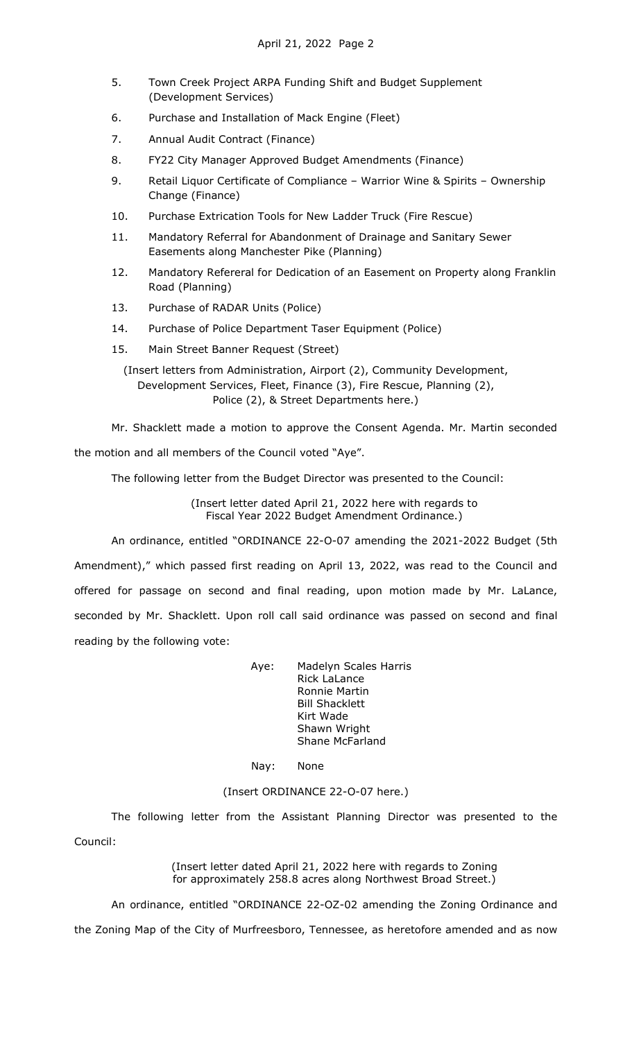- 5. Town Creek Project ARPA Funding Shift and Budget Supplement (Development Services)
- 6. Purchase and Installation of Mack Engine (Fleet)
- 7. Annual Audit Contract (Finance)
- 8. FY22 City Manager Approved Budget Amendments (Finance)
- 9. Retail Liquor Certificate of Compliance Warrior Wine & Spirits Ownership Change (Finance)
- 10. Purchase Extrication Tools for New Ladder Truck (Fire Rescue)
- 11. Mandatory Referral for Abandonment of Drainage and Sanitary Sewer Easements along Manchester Pike (Planning)
- 12. Mandatory Refereral for Dedication of an Easement on Property along Franklin Road (Planning)
- 13. Purchase of RADAR Units (Police)
- 14. Purchase of Police Department Taser Equipment (Police)
- 15. Main Street Banner Request (Street)

(Insert letters from Administration, Airport (2), Community Development, Development Services, Fleet, Finance (3), Fire Rescue, Planning (2), Police (2), & Street Departments here.)

Mr. Shacklett made a motion to approve the Consent Agenda. Mr. Martin seconded the motion and all members of the Council voted "Aye".

The following letter from the Budget Director was presented to the Council:

(Insert letter dated April 21, 2022 here with regards to Fiscal Year 2022 Budget Amendment Ordinance.)

An ordinance, entitled "ORDINANCE 22-O-07 amending the 2021-2022 Budget (5th Amendment)," which passed first reading on April 13, 2022, was read to the Council and offered for passage on second and final reading, upon motion made by Mr. LaLance, seconded by Mr. Shacklett. Upon roll call said ordinance was passed on second and final reading by the following vote:

> Aye: Madelyn Scales Harris Rick LaLance Ronnie Martin Bill Shacklett Kirt Wade Shawn Wright Shane McFarland

Nay: None

## (Insert ORDINANCE 22-O-07 here.)

The following letter from the Assistant Planning Director was presented to the Council:

> (Insert letter dated April 21, 2022 here with regards to Zoning for approximately 258.8 acres along Northwest Broad Street.)

An ordinance, entitled "ORDINANCE 22-OZ-02 amending the Zoning Ordinance and the Zoning Map of the City of Murfreesboro, Tennessee, as heretofore amended and as now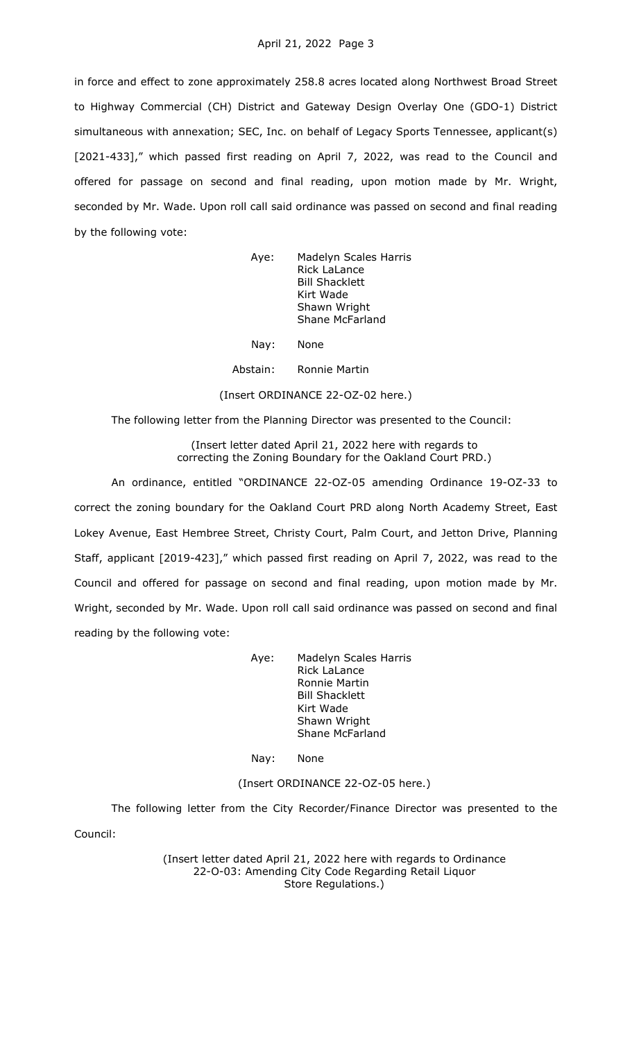in force and effect to zone approximately 258.8 acres located along Northwest Broad Street to Highway Commercial (CH) District and Gateway Design Overlay One (GDO-1) District simultaneous with annexation; SEC, Inc. on behalf of Legacy Sports Tennessee, applicant(s) [2021-433]," which passed first reading on April 7, 2022, was read to the Council and offered for passage on second and final reading, upon motion made by Mr. Wright, seconded by Mr. Wade. Upon roll call said ordinance was passed on second and final reading by the following vote:

| Aye: | Madelyn Scales Harris<br><b>Rick LaLance</b> |
|------|----------------------------------------------|
|      |                                              |
|      | <b>Bill Shacklett</b>                        |
|      | Kirt Wade                                    |
|      | Shawn Wright                                 |
|      | <b>Shane McFarland</b>                       |
|      |                                              |

Nay: None

Abstain: Ronnie Martin

(Insert ORDINANCE 22-OZ-02 here.)

The following letter from the Planning Director was presented to the Council:

(Insert letter dated April 21, 2022 here with regards to correcting the Zoning Boundary for the Oakland Court PRD.)

An ordinance, entitled "ORDINANCE 22-OZ-05 amending Ordinance 19-OZ-33 to correct the zoning boundary for the Oakland Court PRD along North Academy Street, East Lokey Avenue, East Hembree Street, Christy Court, Palm Court, and Jetton Drive, Planning Staff, applicant [2019-423]," which passed first reading on April 7, 2022, was read to the Council and offered for passage on second and final reading, upon motion made by Mr. Wright, seconded by Mr. Wade. Upon roll call said ordinance was passed on second and final reading by the following vote:

> Aye: Madelyn Scales Harris Rick LaLance Ronnie Martin Bill Shacklett Kirt Wade Shawn Wright Shane McFarland

Nay: None

(Insert ORDINANCE 22-OZ-05 here.)

The following letter from the City Recorder/Finance Director was presented to the Council:

> (Insert letter dated April 21, 2022 here with regards to Ordinance 22-O-03: Amending City Code Regarding Retail Liquor Store Regulations.)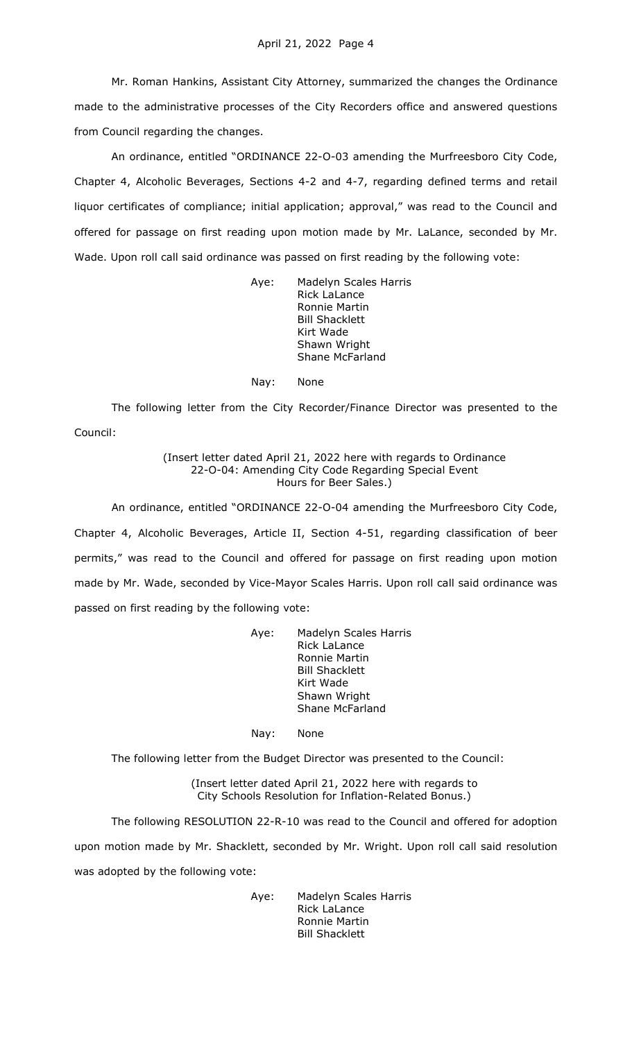Mr. Roman Hankins, Assistant City Attorney, summarized the changes the Ordinance made to the administrative processes of the City Recorders office and answered questions from Council regarding the changes.

An ordinance, entitled "ORDINANCE 22-O-03 amending the Murfreesboro City Code, Chapter 4, Alcoholic Beverages, Sections 4-2 and 4-7, regarding defined terms and retail liquor certificates of compliance; initial application; approval," was read to the Council and offered for passage on first reading upon motion made by Mr. LaLance, seconded by Mr. Wade. Upon roll call said ordinance was passed on first reading by the following vote:

> Aye: Madelyn Scales Harris Rick LaLance Ronnie Martin Bill Shacklett Kirt Wade Shawn Wright Shane McFarland

Nay: None

The following letter from the City Recorder/Finance Director was presented to the Council:

> (Insert letter dated April 21, 2022 here with regards to Ordinance 22-O-04: Amending City Code Regarding Special Event Hours for Beer Sales.)

An ordinance, entitled "ORDINANCE 22-O-04 amending the Murfreesboro City Code, Chapter 4, Alcoholic Beverages, Article II, Section 4-51, regarding classification of beer permits," was read to the Council and offered for passage on first reading upon motion made by Mr. Wade, seconded by Vice-Mayor Scales Harris. Upon roll call said ordinance was passed on first reading by the following vote:

> Aye: Madelyn Scales Harris Rick LaLance Ronnie Martin Bill Shacklett Kirt Wade Shawn Wright Shane McFarland

Nay: None

The following letter from the Budget Director was presented to the Council:

(Insert letter dated April 21, 2022 here with regards to City Schools Resolution for Inflation-Related Bonus.)

The following RESOLUTION 22-R-10 was read to the Council and offered for adoption

upon motion made by Mr. Shacklett, seconded by Mr. Wright. Upon roll call said resolution was adopted by the following vote:

> Aye: Madelyn Scales Harris Rick LaLance Ronnie Martin Bill Shacklett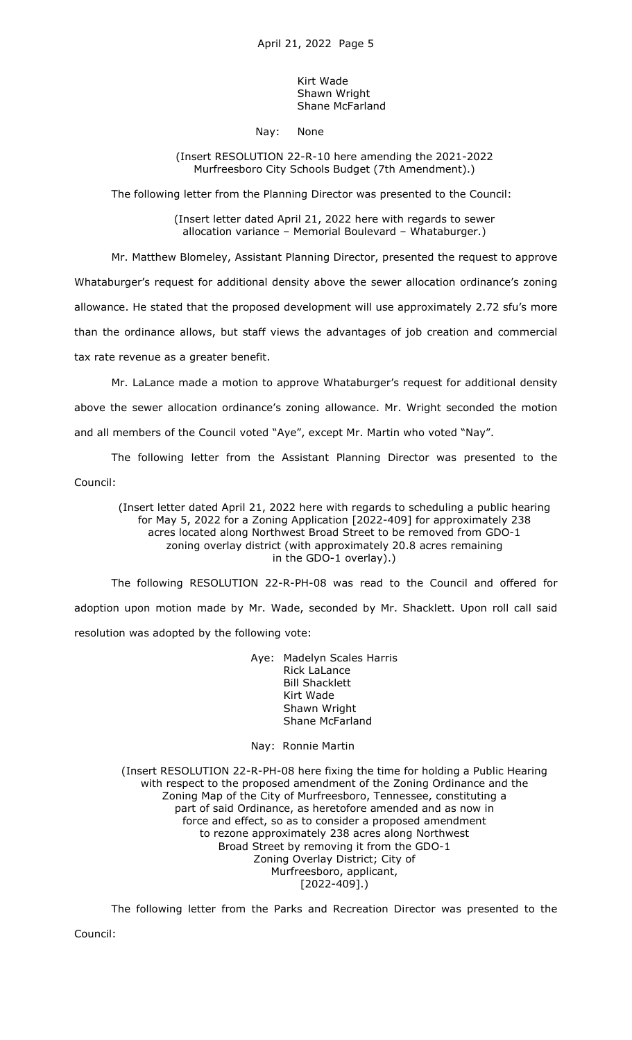Kirt Wade Shawn Wright Shane McFarland

## Nay: None

## (Insert RESOLUTION 22-R-10 here amending the 2021-2022 Murfreesboro City Schools Budget (7th Amendment).)

The following letter from the Planning Director was presented to the Council:

(Insert letter dated April 21, 2022 here with regards to sewer allocation variance – Memorial Boulevard – Whataburger.)

Mr. Matthew Blomeley, Assistant Planning Director, presented the request to approve

Whataburger's request for additional density above the sewer allocation ordinance's zoning

allowance. He stated that the proposed development will use approximately 2.72 sfu's more

than the ordinance allows, but staff views the advantages of job creation and commercial tax rate revenue as a greater benefit.

Mr. LaLance made a motion to approve Whataburger's request for additional density above the sewer allocation ordinance's zoning allowance. Mr. Wright seconded the motion and all members of the Council voted "Aye", except Mr. Martin who voted "Nay".

The following letter from the Assistant Planning Director was presented to the

Council:

(Insert letter dated April 21, 2022 here with regards to scheduling a public hearing for May 5, 2022 for a Zoning Application [2022-409] for approximately 238 acres located along Northwest Broad Street to be removed from GDO-1 zoning overlay district (with approximately 20.8 acres remaining in the GDO-1 overlay).)

The following RESOLUTION 22-R-PH-08 was read to the Council and offered for adoption upon motion made by Mr. Wade, seconded by Mr. Shacklett. Upon roll call said resolution was adopted by the following vote:

> Aye: Madelyn Scales Harris Rick LaLance Bill Shacklett Kirt Wade Shawn Wright Shane McFarland

## Nay: Ronnie Martin

(Insert RESOLUTION 22-R-PH-08 here fixing the time for holding a Public Hearing with respect to the proposed amendment of the Zoning Ordinance and the Zoning Map of the City of Murfreesboro, Tennessee, constituting a part of said Ordinance, as heretofore amended and as now in force and effect, so as to consider a proposed amendment to rezone approximately 238 acres along Northwest Broad Street by removing it from the GDO-1 Zoning Overlay District; City of Murfreesboro, applicant, [2022-409].)

The following letter from the Parks and Recreation Director was presented to the

Council: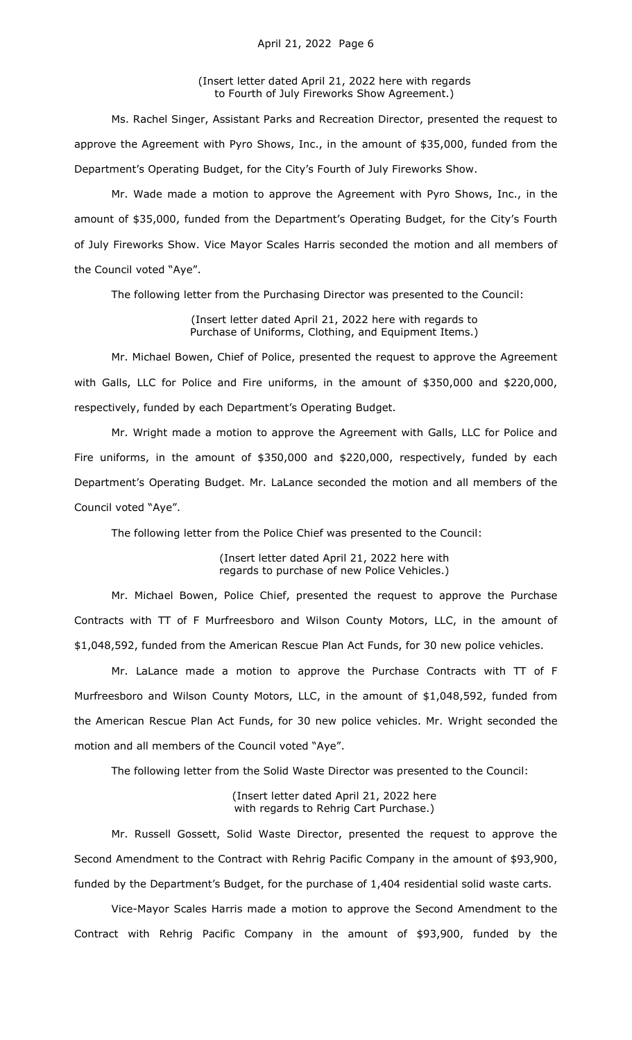(Insert letter dated April 21, 2022 here with regards to Fourth of July Fireworks Show Agreement.)

Ms. Rachel Singer, Assistant Parks and Recreation Director, presented the request to approve the Agreement with Pyro Shows, Inc., in the amount of \$35,000, funded from the Department's Operating Budget, for the City's Fourth of July Fireworks Show.

Mr. Wade made a motion to approve the Agreement with Pyro Shows, Inc., in the amount of \$35,000, funded from the Department's Operating Budget, for the City's Fourth of July Fireworks Show. Vice Mayor Scales Harris seconded the motion and all members of the Council voted "Aye".

The following letter from the Purchasing Director was presented to the Council:

(Insert letter dated April 21, 2022 here with regards to Purchase of Uniforms, Clothing, and Equipment Items.)

Mr. Michael Bowen, Chief of Police, presented the request to approve the Agreement with Galls, LLC for Police and Fire uniforms, in the amount of \$350,000 and \$220,000, respectively, funded by each Department's Operating Budget.

Mr. Wright made a motion to approve the Agreement with Galls, LLC for Police and Fire uniforms, in the amount of \$350,000 and \$220,000, respectively, funded by each Department's Operating Budget. Mr. LaLance seconded the motion and all members of the Council voted "Aye".

The following letter from the Police Chief was presented to the Council:

(Insert letter dated April 21, 2022 here with regards to purchase of new Police Vehicles.)

Mr. Michael Bowen, Police Chief, presented the request to approve the Purchase Contracts with TT of F Murfreesboro and Wilson County Motors, LLC, in the amount of \$1,048,592, funded from the American Rescue Plan Act Funds, for 30 new police vehicles.

Mr. LaLance made a motion to approve the Purchase Contracts with TT of F Murfreesboro and Wilson County Motors, LLC, in the amount of \$1,048,592, funded from the American Rescue Plan Act Funds, for 30 new police vehicles. Mr. Wright seconded the motion and all members of the Council voted "Aye".

The following letter from the Solid Waste Director was presented to the Council:

(Insert letter dated April 21, 2022 here with regards to Rehrig Cart Purchase.)

Mr. Russell Gossett, Solid Waste Director, presented the request to approve the Second Amendment to the Contract with Rehrig Pacific Company in the amount of \$93,900, funded by the Department's Budget, for the purchase of 1,404 residential solid waste carts.

Vice-Mayor Scales Harris made a motion to approve the Second Amendment to the Contract with Rehrig Pacific Company in the amount of \$93,900, funded by the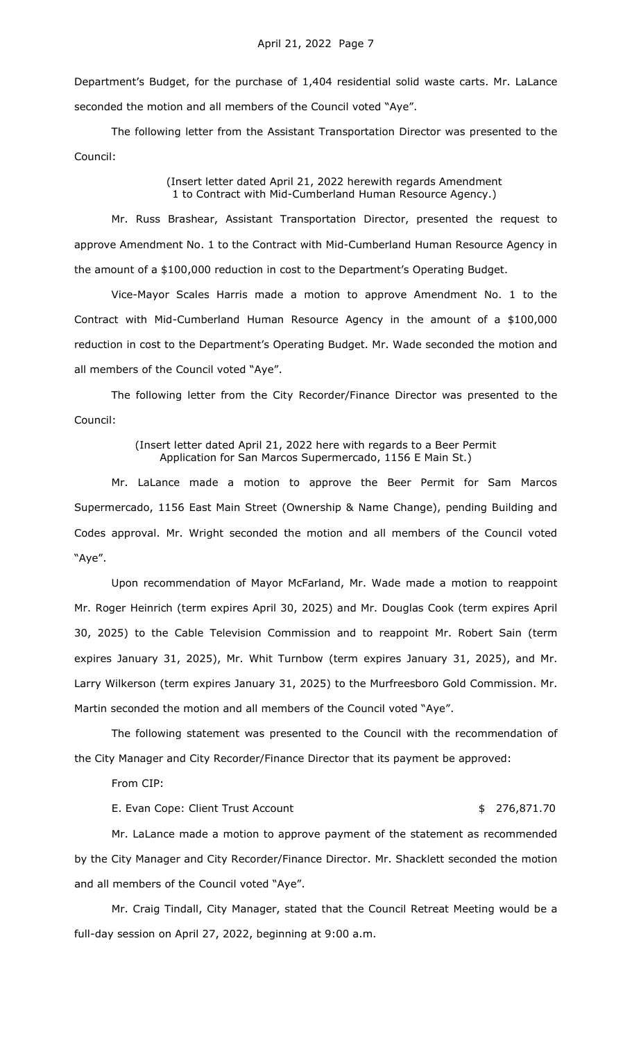Department's Budget, for the purchase of 1,404 residential solid waste carts. Mr. LaLance seconded the motion and all members of the Council voted "Aye".

The following letter from the Assistant Transportation Director was presented to the Council:

> (Insert letter dated April 21, 2022 herewith regards Amendment 1 to Contract with Mid-Cumberland Human Resource Agency.)

Mr. Russ Brashear, Assistant Transportation Director, presented the request to approve Amendment No. 1 to the Contract with Mid-Cumberland Human Resource Agency in the amount of a \$100,000 reduction in cost to the Department's Operating Budget.

Vice-Mayor Scales Harris made a motion to approve Amendment No. 1 to the Contract with Mid-Cumberland Human Resource Agency in the amount of a \$100,000 reduction in cost to the Department's Operating Budget. Mr. Wade seconded the motion and all members of the Council voted "Aye".

The following letter from the City Recorder/Finance Director was presented to the Council:

> (Insert letter dated April 21, 2022 here with regards to a Beer Permit Application for San Marcos Supermercado, 1156 E Main St.)

Mr. LaLance made a motion to approve the Beer Permit for Sam Marcos Supermercado, 1156 East Main Street (Ownership & Name Change), pending Building and Codes approval. Mr. Wright seconded the motion and all members of the Council voted "Aye".

Upon recommendation of Mayor McFarland, Mr. Wade made a motion to reappoint Mr. Roger Heinrich (term expires April 30, 2025) and Mr. Douglas Cook (term expires April 30, 2025) to the Cable Television Commission and to reappoint Mr. Robert Sain (term expires January 31, 2025), Mr. Whit Turnbow (term expires January 31, 2025), and Mr. Larry Wilkerson (term expires January 31, 2025) to the Murfreesboro Gold Commission. Mr. Martin seconded the motion and all members of the Council voted "Aye".

The following statement was presented to the Council with the recommendation of the City Manager and City Recorder/Finance Director that its payment be approved:

From CIP:

E. Evan Cope: Client Trust Account  $\frac{1}{2}$  8 276,871.70

Mr. LaLance made a motion to approve payment of the statement as recommended by the City Manager and City Recorder/Finance Director. Mr. Shacklett seconded the motion and all members of the Council voted "Aye".

Mr. Craig Tindall, City Manager, stated that the Council Retreat Meeting would be a full-day session on April 27, 2022, beginning at 9:00 a.m.